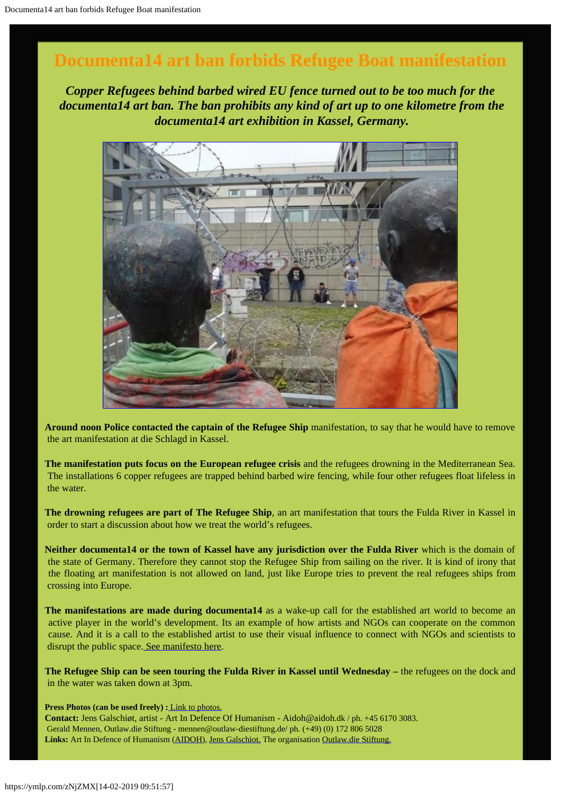# **Documenta14 art ban forbids Refugee Boat manifestation**

*Copper Refugees behind barbed wired EU fence turned out to be too much for the documenta14 art ban. The ban prohibits any kind of art up to one kilometre from the documenta14 art exhibition in Kassel, Germany.*



**Around noon Police contacted the captain of the Refugee Ship** manifestation, to say that he would have to remove the art manifestation at die Schlagd in Kassel.

**The manifestation puts focus on the European refugee crisis** and the refugees drowning in the Mediterranean Sea. The installations 6 copper refugees are trapped behind barbed wire fencing, while four other refugees float lifeless in the water.

**The drowning refugees are part of The Refugee Ship**, an art manifestation that tours the Fulda River in Kassel in order to start a discussion about how we treat the world's refugees.

**Neither documenta14 or the town of Kassel have any jurisdiction over the Fulda River** which is the domain of the state of Germany. Therefore they cannot stop the Refugee Ship from sailing on the river. It is kind of irony that the floating art manifestation is not allowed on land, just like Europe tries to prevent the real refugees ships from crossing into Europe.

**The manifestations are made during documenta14** as a wake-up call for the established art world to become an active player in the world's development. Its an example of how artists and NGOs can cooperate on the common cause. And it is a call to the established artist to use their visual influence to connect with NGOs and scientists to disrupt the public space. [See manifesto here.](http://www.galschiot.com/wp-content/uploads/2017/06/documenta_manifesto_GB_Final.pdf)

**The Refugee Ship can be seen touring the Fulda River in Kassel until Wednesday –** the refugees on the dock and in the water was taken down at 3pm.

**Press Photos (can be used freely) :** [Link to photos.](http://www.galschiot.com/press-photos-documenta14/)

**Contact:** Jens Galschiøt, artist - Art In Defence Of Humanism - Aidoh@aidoh.dk / ph. +45 6170 3083. Gerald Mennen, Outlaw.die Stiftung - mennen@outlaw-diestiftung.de/ ph. (+49) (0) 172 806 5028 **Links:** Art In Defence of Humanism [\(AIDOH](http://aidoh.dk/)), [Jens Galschiot,](http://www.galschiot.com/) The organisation [Outlaw.die Stiftung.](http://www.outlaw-diestiftung.de/aktivitaeten/veranstaltungen/mit-sicherheit-gut-ankommen/)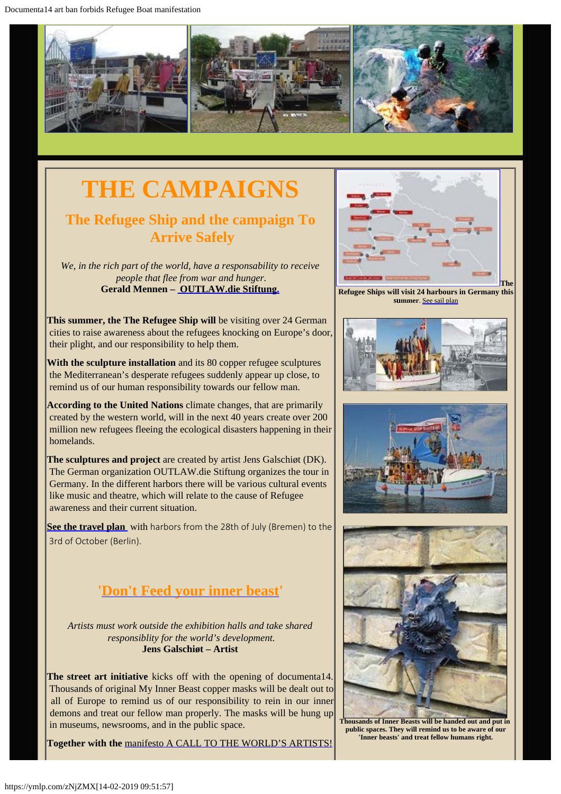Documenta14 art ban forbids Refugee Boat manifestation



# **THE CAMPAIGNS**

# **The Refugee Ship and the campaign To Arrive Safely**

*We, in the rich part of the world, have a responsability to receive people that flee from war and hunger.* **Gerald Mennen – [OUTLAW.die Stiftung.](http://www.outlaw-diestiftung.de/aktivitaeten/veranstaltungen/mit-sicherheit-gut-ankommen/)**

**This summer, the The Refugee Ship will** be visiting over 24 German cities to raise awareness about the refugees knocking on Europe's door, their plight, and our responsibility to help them.

**With the sculpture installation** and its 80 copper refugee sculptures the Mediterranean's desperate refugees suddenly appear up close, to remind us of our human responsibility towards our fellow man.

**According to the United Nations** climate changes, that are primarily created by the western world, will in the next 40 years create over 200 million new refugees fleeing the ecological disasters happening in their homelands.

**The sculptures and project** are created by artist Jens Galschiøt (DK). The German organization OUTLAW.die Stiftung organizes the tour in Germany. In the different harbors there will be various cultural events like music and theatre, which will relate to the cause of Refugee awareness and their current situation.

**[See the travel plan](http://www.outlaw-diestiftung.de/aktivitaeten/veranstaltungen/mit-sicherheit-gut-ankommen/die-route/#c145)** with harbors from the 28th of July (Bremen) to the 3rd of October (Berlin).

# **'[Don't Feed your inner beast](http://www.galschiot.com/documenta14/)'**

*Artists must work outside the exhibition halls and take shared responsiblity for the world's development.* **Jens Galschiøt – Artist**

**The street art initiative** kicks off with the opening of documenta14. Thousands of original My Inner Beast copper masks will be dealt out to all of Europe to remind us of our responsibility to rein in our inner demons and treat our fellow man properly. The masks will be hung up in museums, newsrooms, and in the public space.

**Together with the** [manifesto A CALL TO THE WORLD'S ARTISTS!](http://www.galschiot.com/wp-content/uploads/2017/06/documenta_manifesto_GB_Final.pdf)



 **Refugee Ships will visit 24 harbours in Germany this summer**. [See sail plan](http://www.outlaw-diestiftung.de/aktivitaeten/veranstaltungen/mit-sicherheit-gut-ankommen/die-route/#c145)







**Thousands of Inner Beasts will be handed out and put in public spaces. They will remind us to be aware of our 'Inner beasts' and treat fellow humans right.**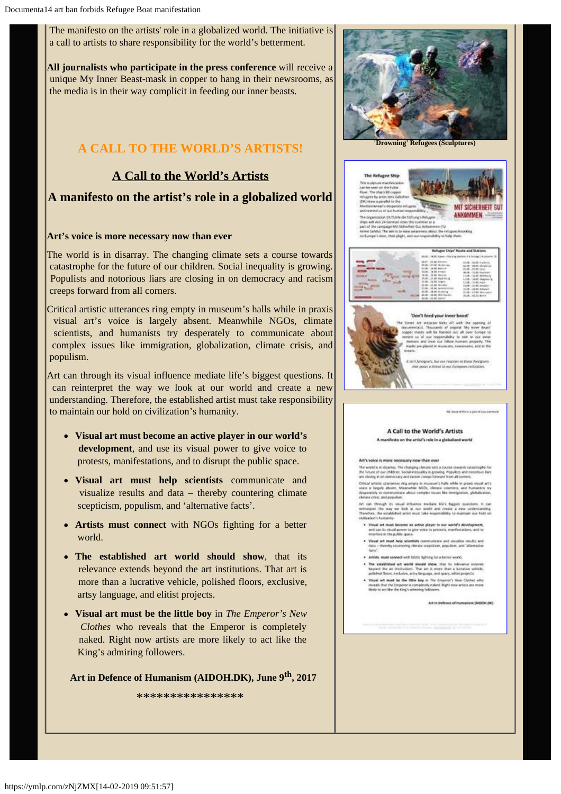[The manifesto on the artists' role in a globalized world](http://www.galschiot.com/wp-content/uploads/2017/06/documenta_manifesto_GB_Final.pdf). The initiative is a call to artists to share responsibility for the world's betterment.

**All journalists who participate in the press conference** will receive a unique My Inner Beast-mask in copper to hang in their newsrooms, as the media is in their way complicit in feeding our inner beasts.

# **A CALL TO THE WORLD'S ARTISTS!**

## **A Call to the World's Artists**

### **A manifesto on the artist's role in a globalized world**

### **Art's voice is more necessary now than ever**

The world is in disarray. The changing climate sets a course towards catastrophe for the future of our children. Social inequality is growing. Populists and notorious liars are closing in on democracy and racism creeps forward from all corners.

Critical artistic utterances ring empty in museum's halls while in praxis visual art's voice is largely absent. Meanwhile NGOs, climate scientists, and humanists try desperately to communicate about complex issues like immigration, globalization, climate crisis, and populism.

Art can through its visual influence mediate life's biggest questions. It can reinterpret the way we look at our world and create a new understanding. Therefore, the established artist must take responsibility to maintain our hold on civilization's humanity.

- **Visual art must become an active player in our world's development**, and use its visual power to give voice to protests, manifestations, and to disrupt the public space.
- **Visual art must help scientists** communicate and visualize results and data – thereby countering climate scepticism, populism, and 'alternative facts'.
- **Artists must connect** with NGOs fighting for a better world.
- **The established art world should show**, that its relevance extends beyond the art institutions. That art is more than a lucrative vehicle, polished floors, exclusive, artsy language, and elitist projects.
- **Visual art must be the little boy** in *The Emperor's New Clothes* who reveals that the Emperor is completely naked. Right now artists are more likely to act like the King's admiring followers.

### **Art in Defence of Humanism (AIDOH.DK), June 9th, 2017**

\*\*\*\*\*\*\*\*\*\*\*\*\*\*\*\*







### A Call to the World's Artists manifesto on the artist's role in a globalized w

### Art's voice is more necessary now than ever

.<br>The world is in deartay. The changing climate sets a course towards call<br>the future of our children. Social integratity in growing. Populists and no<br>are closing in on domocracy and racism crosps forward from all content. Critical artistic utterances ring empty at museum's halfs while in pracis visual arts voice in largely about. Meanwhile 1900s, climate steering, and frumerism try<br>desperately to communicate about complex insure like immigr

Art can through its visual influence mediate MVs biggest questions. It releases the way we look at our world and create a new understanding the way we look at our world and create a new understanding collection and the ex

- where a structure between an active player in our world's developed on its visual power to give votes to present is, manifestation<br>and use its visual power to give votes to presents, manifestation<br>anarrines in the public s
- Visual art must help adentiats construction and sit<br>data thereby countering climate cospidition, popular
- . Artists must connect with MSOs fighting for a better world.
- The established art world should show, the 15 selected<br>beyond the art institutions. That art is more than a location<br>political floors, exclusive, artly language, and space, elited project
- 
- powered with most be the little buy in the Copyright Ann Cliches who<br>moveds the the buyers is completely and the Copyright Apple Cliches who<br>moveds that the Empires is completely indeed. Hight now artists are more<br>likely t

Art in Onlinear of Immunicus (AUDON DK)